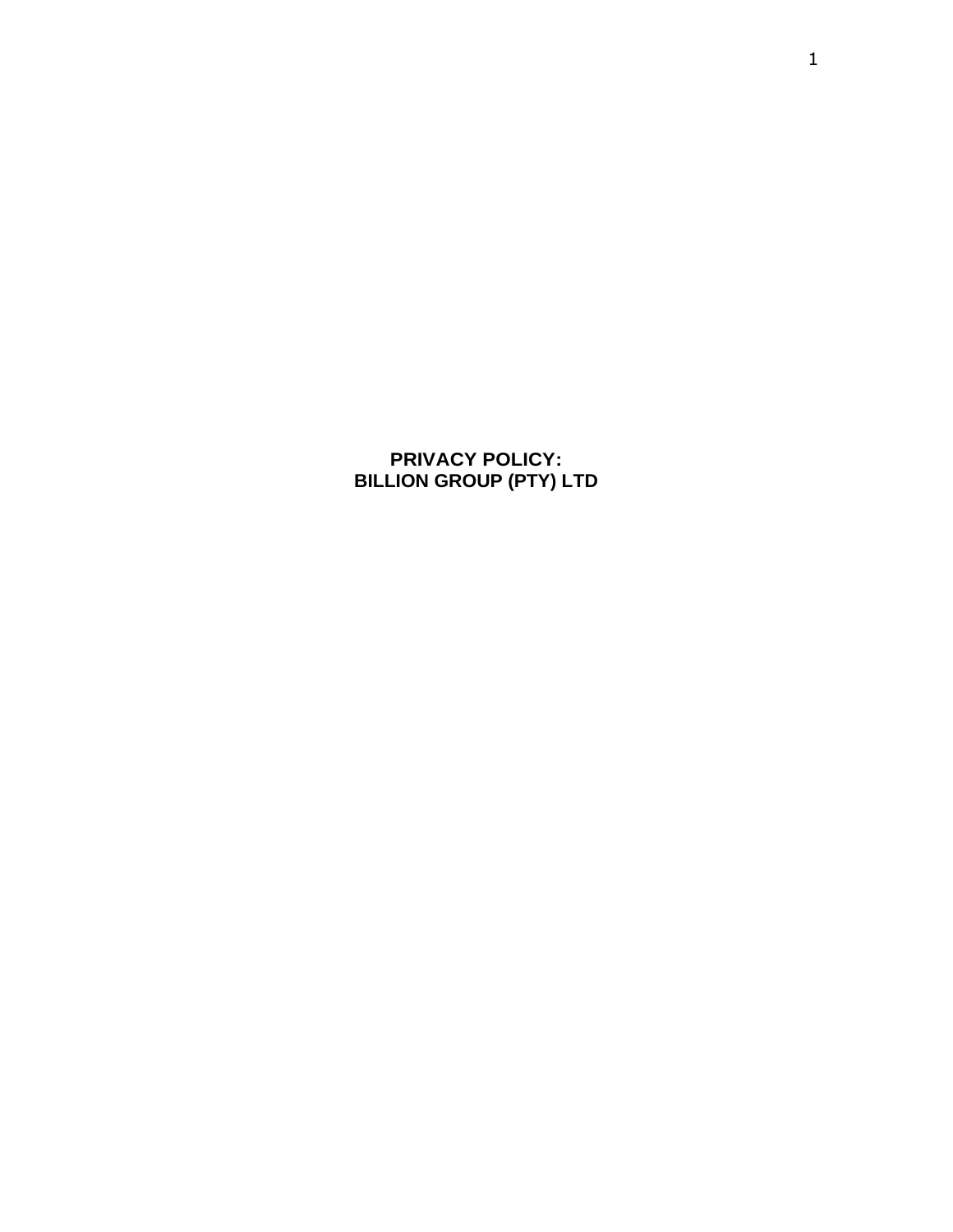**PRIVACY POLICY: BILLION GROUP (PTY) LTD**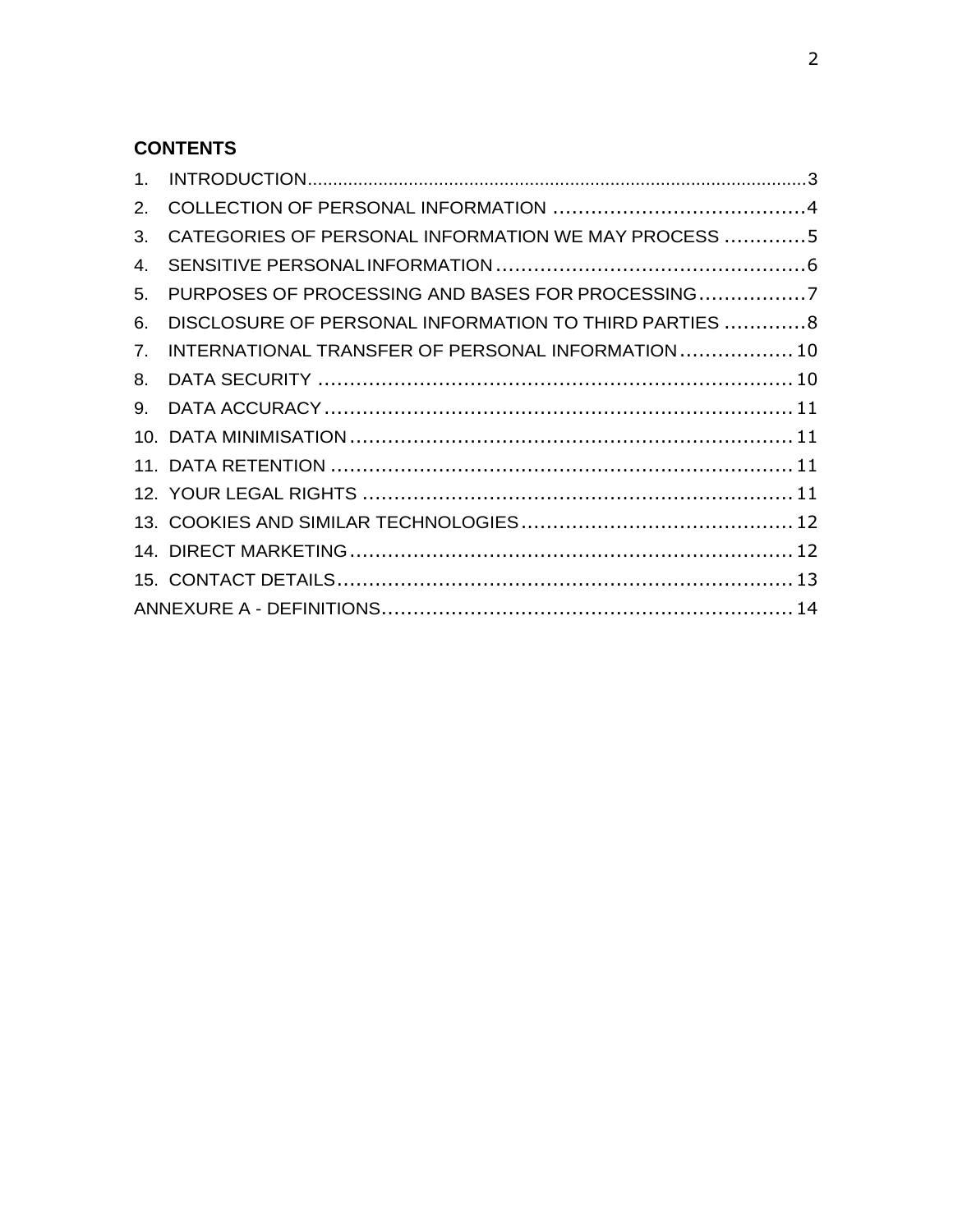## **CONTENTS**

| 2. |                                                        |  |
|----|--------------------------------------------------------|--|
| 3. | CATEGORIES OF PERSONAL INFORMATION WE MAY PROCESS 5    |  |
| 4. |                                                        |  |
| 5. | PURPOSES OF PROCESSING AND BASES FOR PROCESSING7       |  |
| 6. | DISCLOSURE OF PERSONAL INFORMATION TO THIRD PARTIES  8 |  |
| 7. | INTERNATIONAL TRANSFER OF PERSONAL INFORMATION  10     |  |
| 8. |                                                        |  |
| 9. |                                                        |  |
|    |                                                        |  |
|    |                                                        |  |
|    |                                                        |  |
|    |                                                        |  |
|    |                                                        |  |
|    |                                                        |  |
|    |                                                        |  |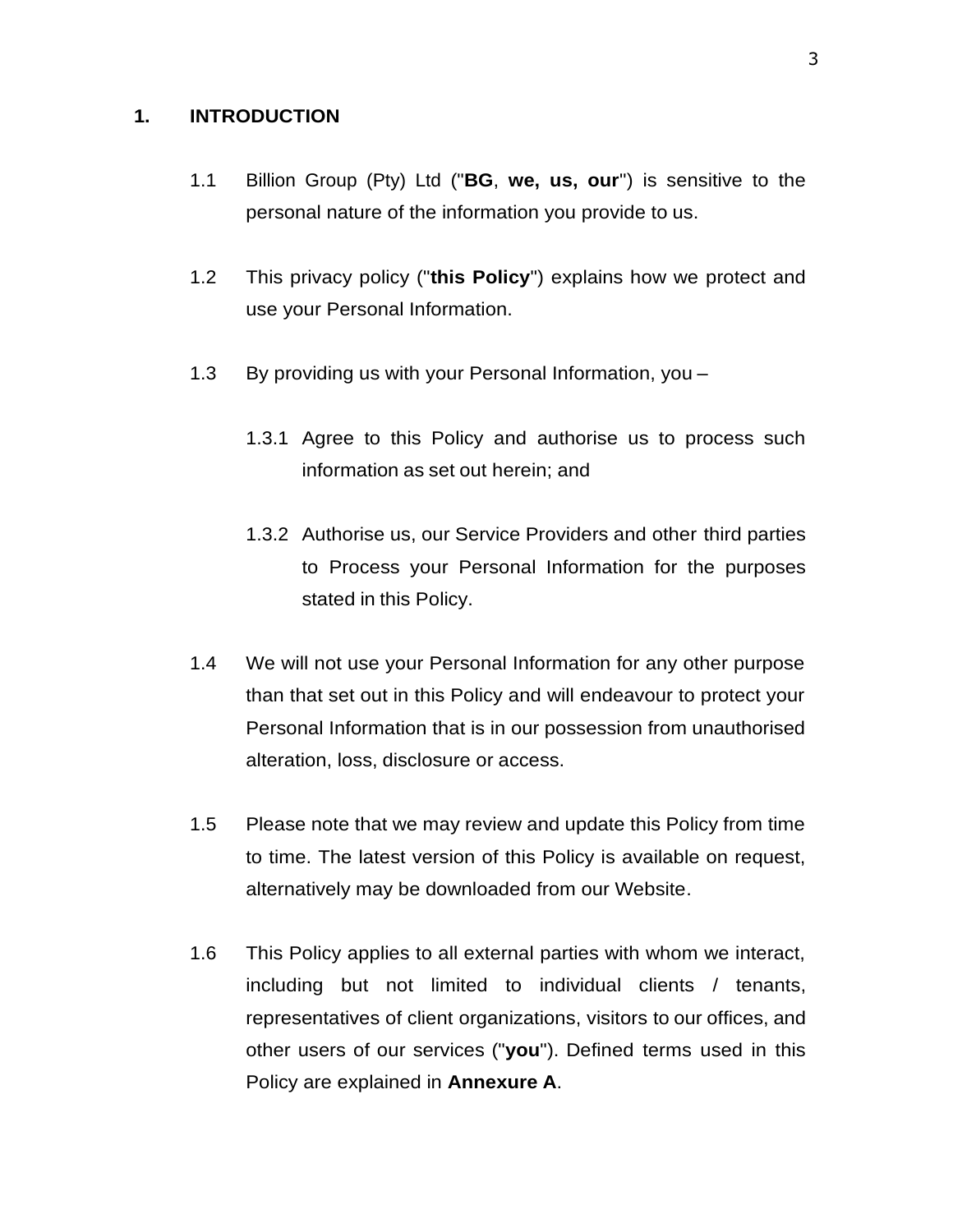#### <span id="page-2-0"></span>**1. INTRODUCTION**

- 1.1 Billion Group (Pty) Ltd ("**BG**, **we, us, our**") is sensitive to the personal nature of the information you provide to us.
- 1.2 This privacy policy ("**this Policy**") explains how we protect and use your Personal Information.
- 1.3 By providing us with your Personal Information, you
	- 1.3.1 Agree to this Policy and authorise us to process such information as set out herein; and
	- 1.3.2 Authorise us, our Service Providers and other third parties to Process your Personal Information for the purposes stated in this Policy.
- 1.4 We will not use your Personal Information for any other purpose than that set out in this Policy and will endeavour to protect your Personal Information that is in our possession from unauthorised alteration, loss, disclosure or access.
- 1.5 Please note that we may review and update this Policy from time to time. The latest version of this Policy is available on request, alternatively may be downloaded from our Website.
- 1.6 This Policy applies to all external parties with whom we interact, including but not limited to individual clients / tenants, representatives of client organizations, visitors to our offices, and other users of our services ("**you**"). Defined terms used in this Policy are explained in **Annexure A**.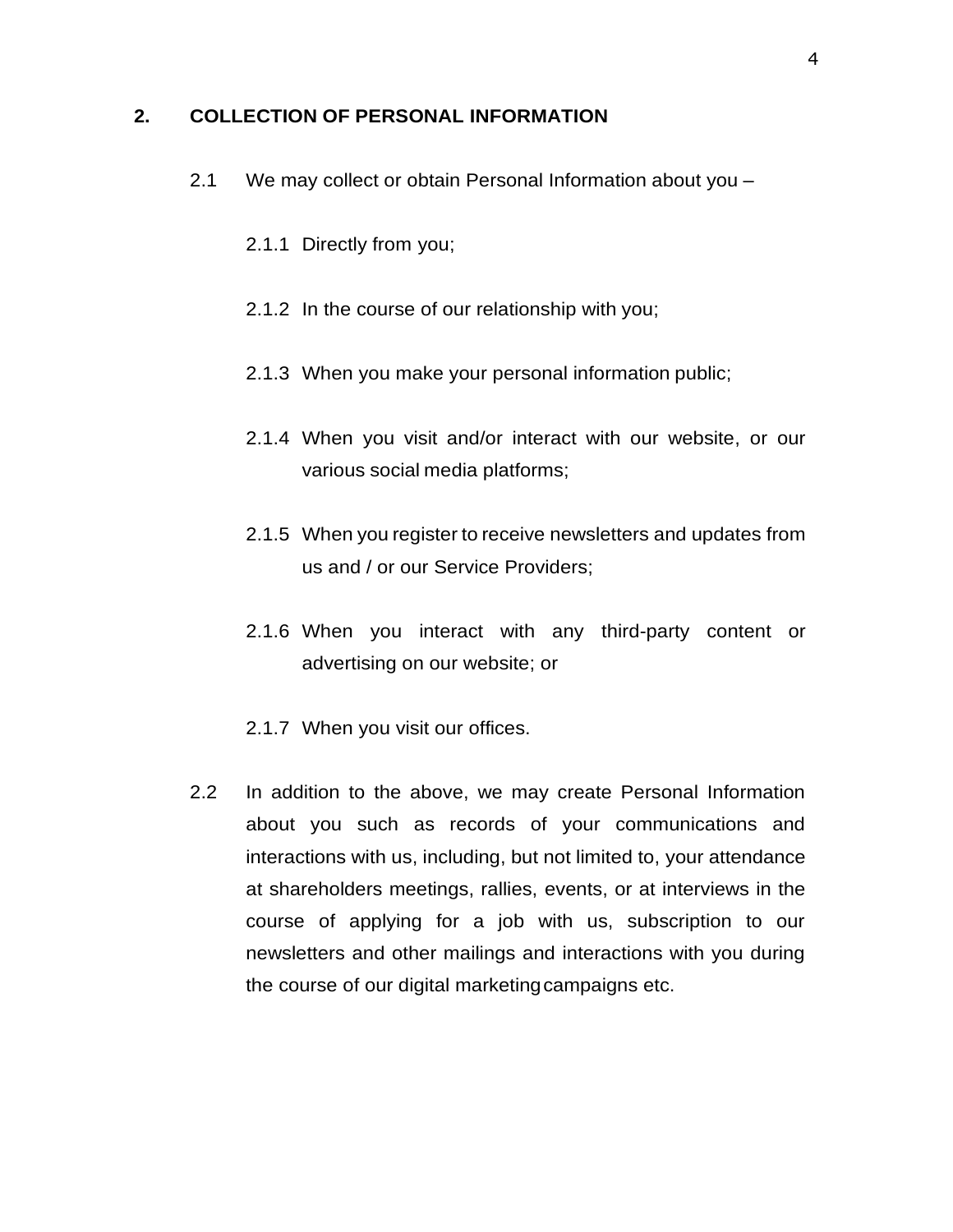#### <span id="page-3-0"></span>**2. COLLECTION OF PERSONAL INFORMATION**

- 2.1 We may collect or obtain Personal Information about you
	- 2.1.1 Directly from you;
	- 2.1.2 In the course of our relationship with you;
	- 2.1.3 When you make your personal information public;
	- 2.1.4 When you visit and/or interact with our website, or our various social media platforms;
	- 2.1.5 When you register to receive newsletters and updates from us and / or our Service Providers;
	- 2.1.6 When you interact with any third-party content or advertising on our website; or
	- 2.1.7 When you visit our offices.
- 2.2 In addition to the above, we may create Personal Information about you such as records of your communications and interactions with us, including, but not limited to, your attendance at shareholders meetings, rallies, events, or at interviews in the course of applying for a job with us, subscription to our newsletters and other mailings and interactions with you during the course of our digital marketingcampaigns etc.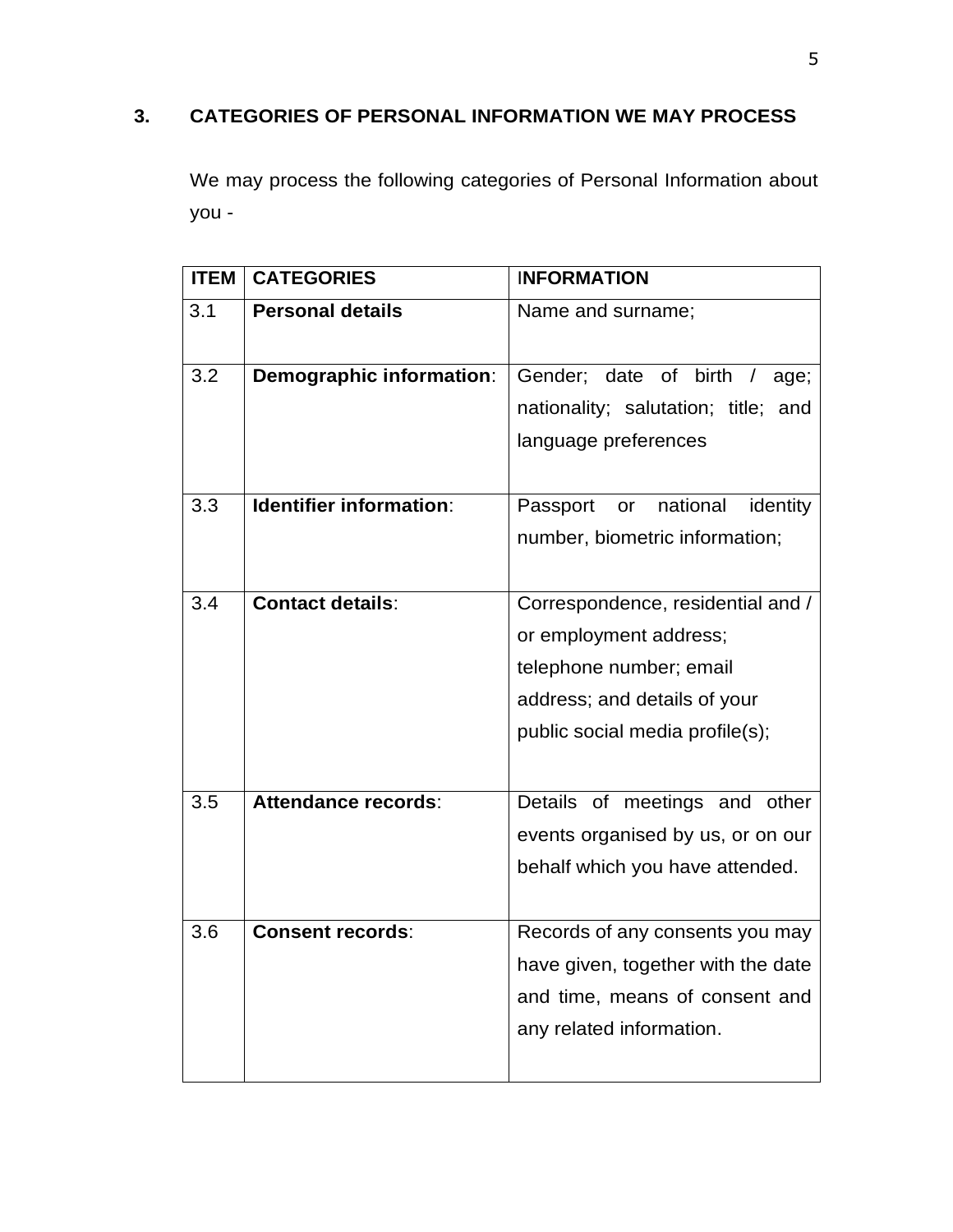# <span id="page-4-0"></span>**3. CATEGORIES OF PERSONAL INFORMATION WE MAY PROCESS**

We may process the following categories of Personal Information about you -

| <b>ITEM</b> | <b>CATEGORIES</b>              | <b>INFORMATION</b>                                                                                                                                        |
|-------------|--------------------------------|-----------------------------------------------------------------------------------------------------------------------------------------------------------|
| 3.1         | <b>Personal details</b>        | Name and surname;                                                                                                                                         |
| 3.2         | Demographic information:       | Gender; date of birth /<br>age;<br>nationality; salutation; title; and<br>language preferences                                                            |
| 3.3         | <b>Identifier information:</b> | or national<br>Passport<br>identity<br>number, biometric information;                                                                                     |
| 3.4         | <b>Contact details:</b>        | Correspondence, residential and /<br>or employment address;<br>telephone number; email<br>address; and details of your<br>public social media profile(s); |
| 3.5         | Attendance records:            | Details of meetings and other<br>events organised by us, or on our<br>behalf which you have attended.                                                     |
| 3.6         | <b>Consent records:</b>        | Records of any consents you may<br>have given, together with the date<br>and time, means of consent and<br>any related information.                       |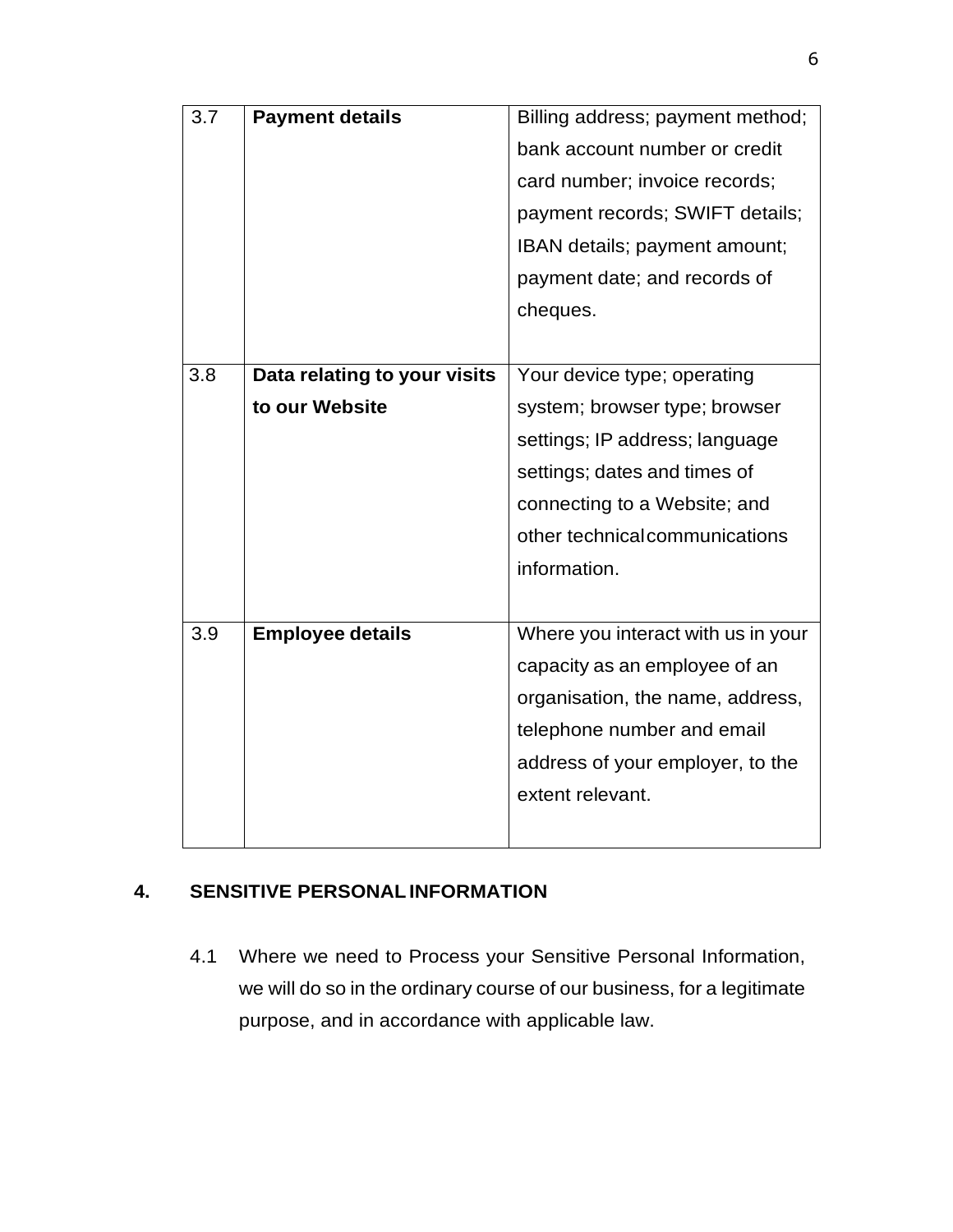| 3.7 | <b>Payment details</b>       | Billing address; payment method;   |
|-----|------------------------------|------------------------------------|
|     |                              | bank account number or credit      |
|     |                              | card number; invoice records;      |
|     |                              | payment records; SWIFT details;    |
|     |                              | IBAN details; payment amount;      |
|     |                              | payment date; and records of       |
|     |                              | cheques.                           |
|     |                              |                                    |
| 3.8 | Data relating to your visits | Your device type; operating        |
|     | to our Website               | system; browser type; browser      |
|     |                              | settings; IP address; language     |
|     |                              | settings; dates and times of       |
|     |                              | connecting to a Website; and       |
|     |                              | other technical communications     |
|     |                              | information.                       |
|     |                              |                                    |
| 3.9 | <b>Employee details</b>      | Where you interact with us in your |
|     |                              | capacity as an employee of an      |
|     |                              | organisation, the name, address,   |
|     |                              | telephone number and email         |
|     |                              | address of your employer, to the   |
|     |                              | extent relevant.                   |
|     |                              |                                    |

## <span id="page-5-0"></span>**4. SENSITIVE PERSONALINFORMATION**

4.1 Where we need to Process your Sensitive Personal Information, we will do so in the ordinary course of our business, for a legitimate purpose, and in accordance with applicable law.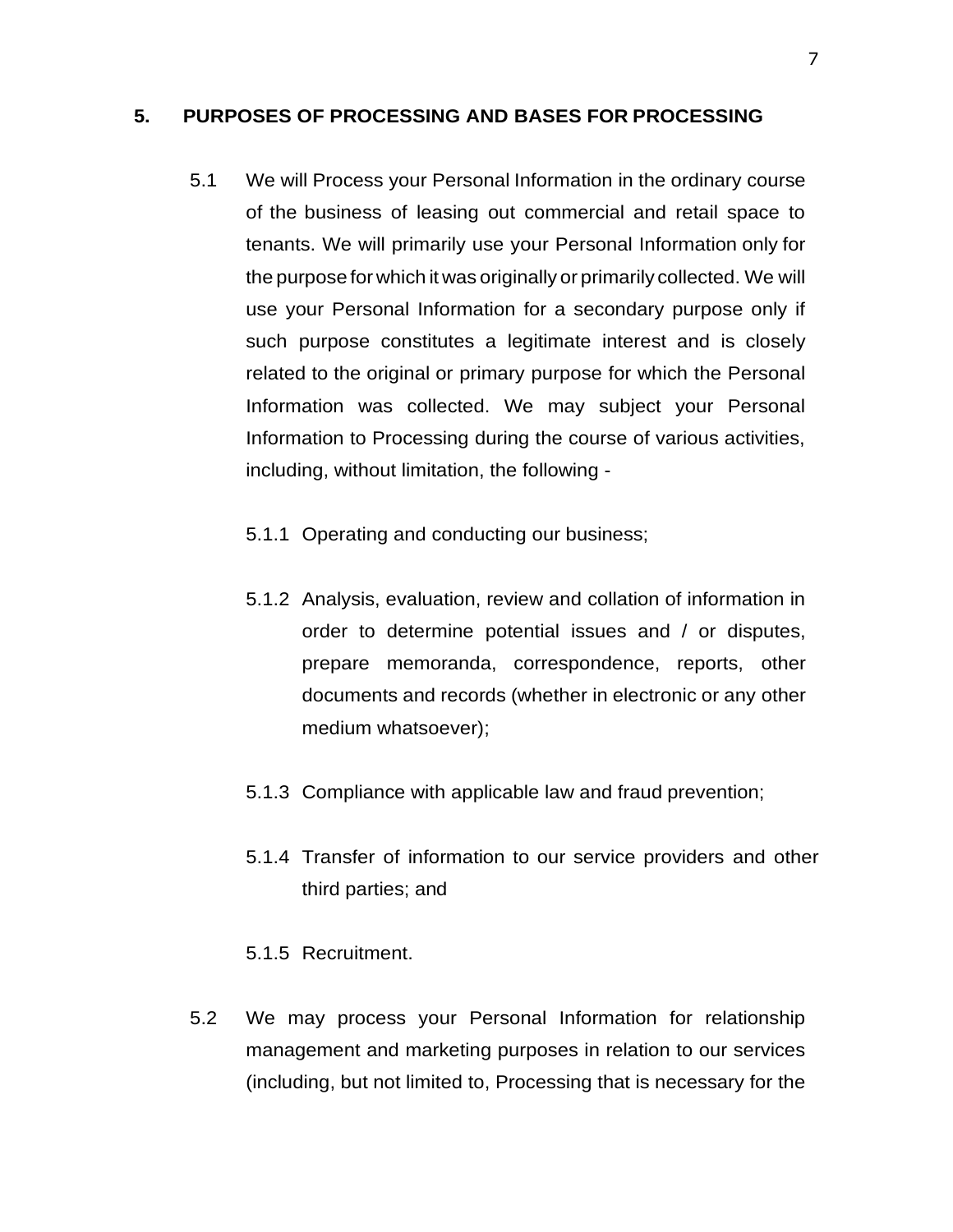#### <span id="page-6-0"></span>**5. PURPOSES OF PROCESSING AND BASES FOR PROCESSING**

- 5.1 We will Process your Personal Information in the ordinary course of the business of leasing out commercial and retail space to tenants. We will primarily use your Personal Information only for the purpose for which it was originally or primarily collected. We will use your Personal Information for a secondary purpose only if such purpose constitutes a legitimate interest and is closely related to the original or primary purpose for which the Personal Information was collected. We may subject your Personal Information to Processing during the course of various activities, including, without limitation, the following -
	- 5.1.1 Operating and conducting our business;
	- 5.1.2 Analysis, evaluation, review and collation of information in order to determine potential issues and / or disputes, prepare memoranda, correspondence, reports, other documents and records (whether in electronic or any other medium whatsoever);
	- 5.1.3 Compliance with applicable law and fraud prevention;
	- 5.1.4 Transfer of information to our service providers and other third parties; and
	- 5.1.5 Recruitment.
- 5.2 We may process your Personal Information for relationship management and marketing purposes in relation to our services (including, but not limited to, Processing that is necessary for the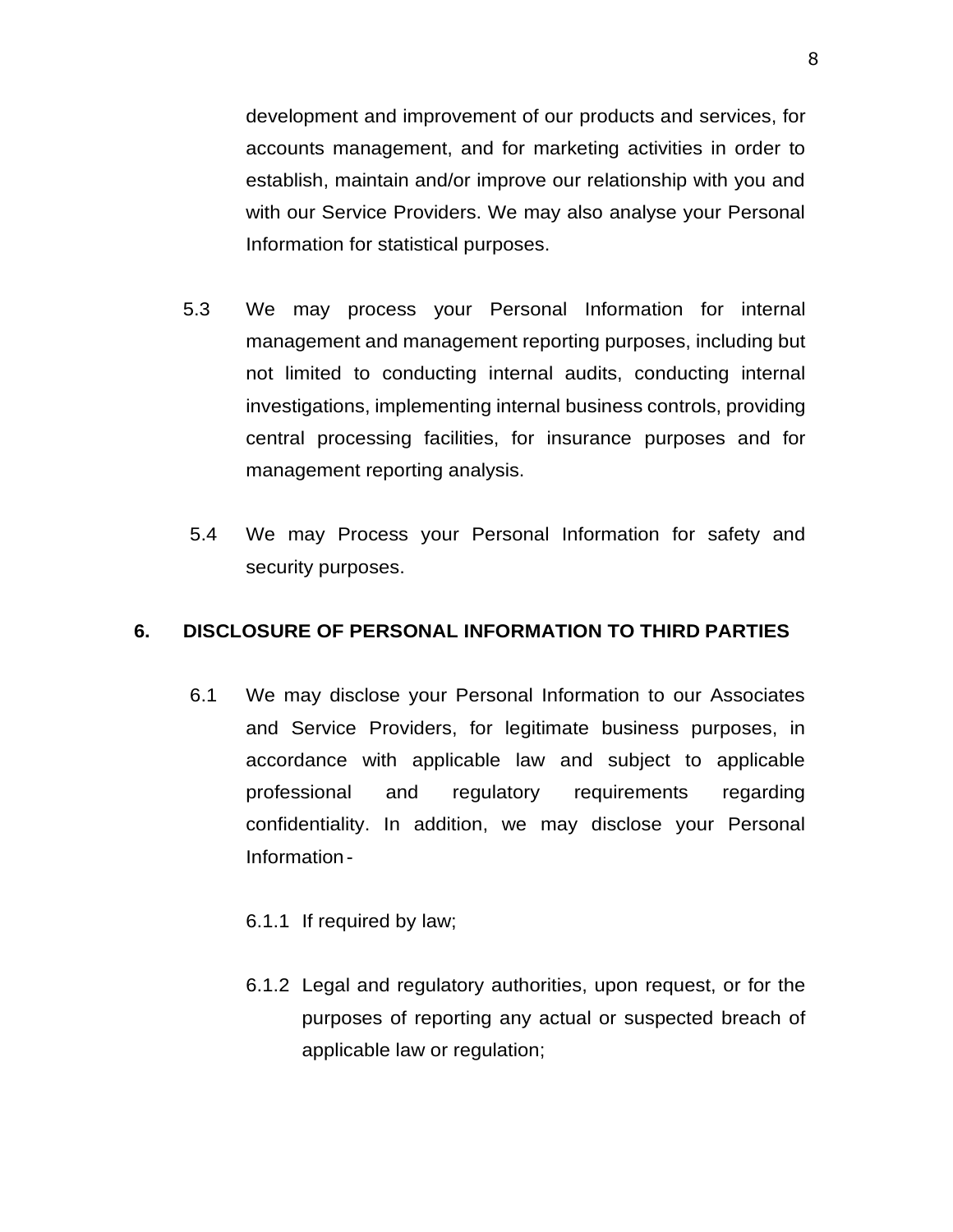development and improvement of our products and services, for accounts management, and for marketing activities in order to establish, maintain and/or improve our relationship with you and with our Service Providers. We may also analyse your Personal Information for statistical purposes.

- 5.3 We may process your Personal Information for internal management and management reporting purposes, including but not limited to conducting internal audits, conducting internal investigations, implementing internal business controls, providing central processing facilities, for insurance purposes and for management reporting analysis.
- 5.4 We may Process your Personal Information for safety and security purposes.

#### <span id="page-7-0"></span>**6. DISCLOSURE OF PERSONAL INFORMATION TO THIRD PARTIES**

- 6.1 We may disclose your Personal Information to our Associates and Service Providers, for legitimate business purposes, in accordance with applicable law and subject to applicable professional and regulatory requirements regarding confidentiality. In addition, we may disclose your Personal Information-
	- 6.1.1 If required by law;
	- 6.1.2 Legal and regulatory authorities, upon request, or for the purposes of reporting any actual or suspected breach of applicable law or regulation;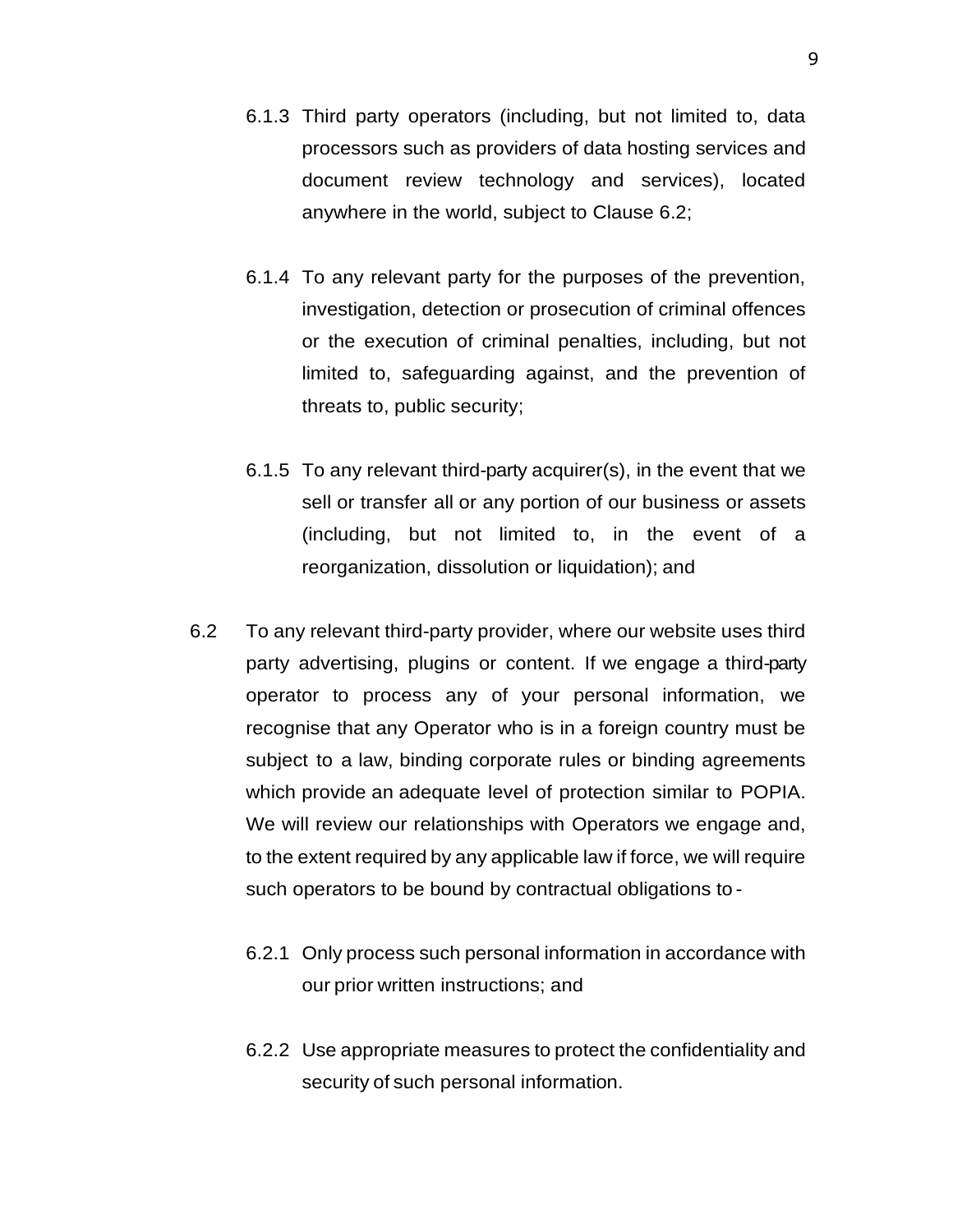- 6.1.3 Third party operators (including, but not limited to, data processors such as providers of data hosting services and document review technology and services), located anywhere in the world, subject to Clause 6.2;
- 6.1.4 To any relevant party for the purposes of the prevention, investigation, detection or prosecution of criminal offences or the execution of criminal penalties, including, but not limited to, safeguarding against, and the prevention of threats to, public security;
- 6.1.5 To any relevant third-party acquirer(s), in the event that we sell or transfer all or any portion of our business or assets (including, but not limited to, in the event of a reorganization, dissolution or liquidation); and
- 6.2 To any relevant third-party provider, where our website uses third party advertising, plugins or content. If we engage a third-party operator to process any of your personal information, we recognise that any Operator who is in a foreign country must be subject to a law, binding corporate rules or binding agreements which provide an adequate level of protection similar to POPIA. We will review our relationships with Operators we engage and, to the extent required by any applicable law if force, we will require such operators to be bound by contractual obligations to -
	- 6.2.1 Only process such personal information in accordance with our prior written instructions; and
	- 6.2.2 Use appropriate measures to protect the confidentiality and security of such personal information.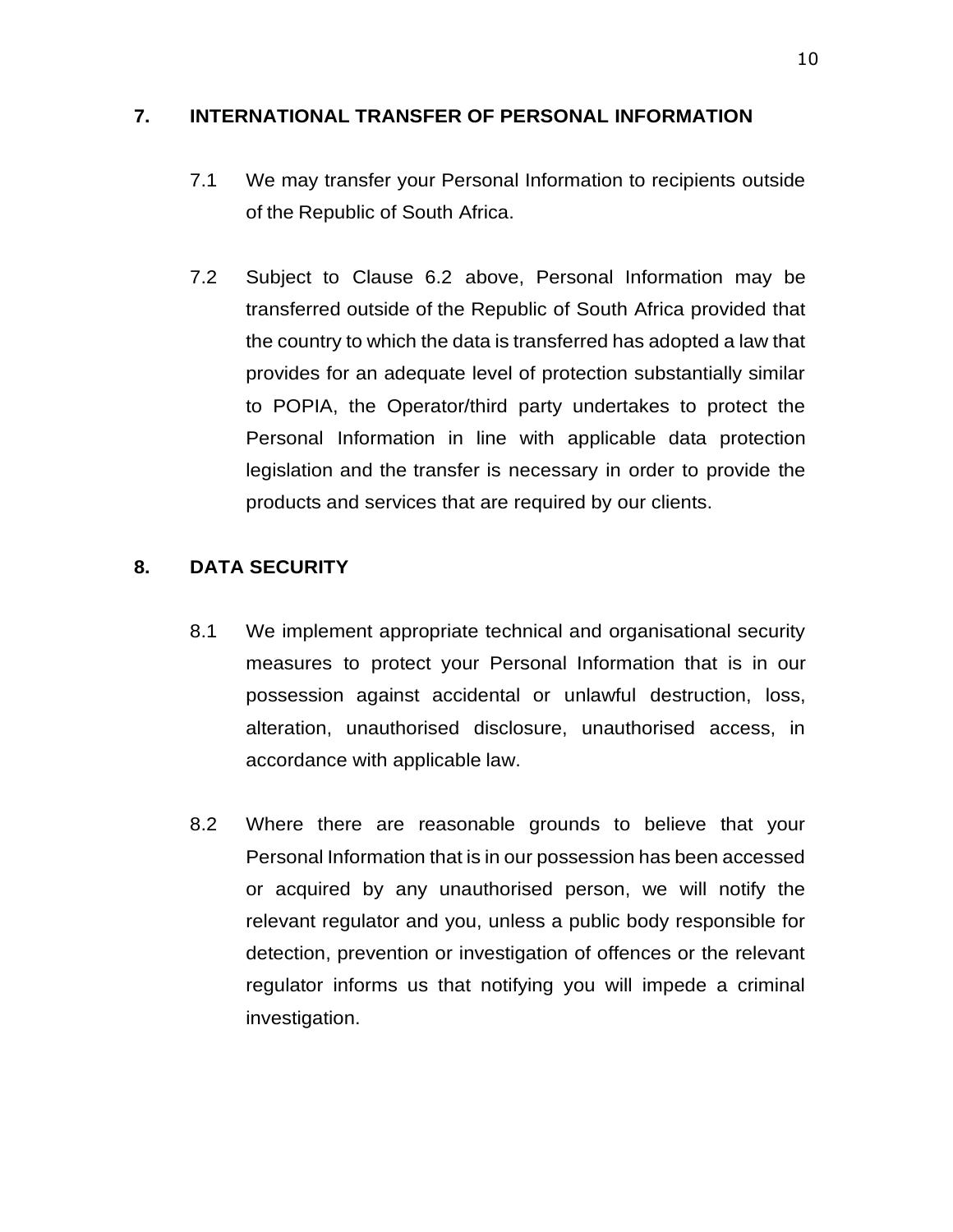#### <span id="page-9-0"></span>**7. INTERNATIONAL TRANSFER OF PERSONAL INFORMATION**

- 7.1 We may transfer your Personal Information to recipients outside of the Republic of South Africa.
- 7.2 Subject to Clause 6.2 above, Personal Information may be transferred outside of the Republic of South Africa provided that the country to which the data is transferred has adopted a law that provides for an adequate level of protection substantially similar to POPIA, the Operator/third party undertakes to protect the Personal Information in line with applicable data protection legislation and the transfer is necessary in order to provide the products and services that are required by our clients.

### <span id="page-9-1"></span>**8. DATA SECURITY**

- 8.1 We implement appropriate technical and organisational security measures to protect your Personal Information that is in our possession against accidental or unlawful destruction, loss, alteration, unauthorised disclosure, unauthorised access, in accordance with applicable law.
- 8.2 Where there are reasonable grounds to believe that your Personal Information that is in our possession has been accessed or acquired by any unauthorised person, we will notify the relevant regulator and you, unless a public body responsible for detection, prevention or investigation of offences or the relevant regulator informs us that notifying you will impede a criminal investigation.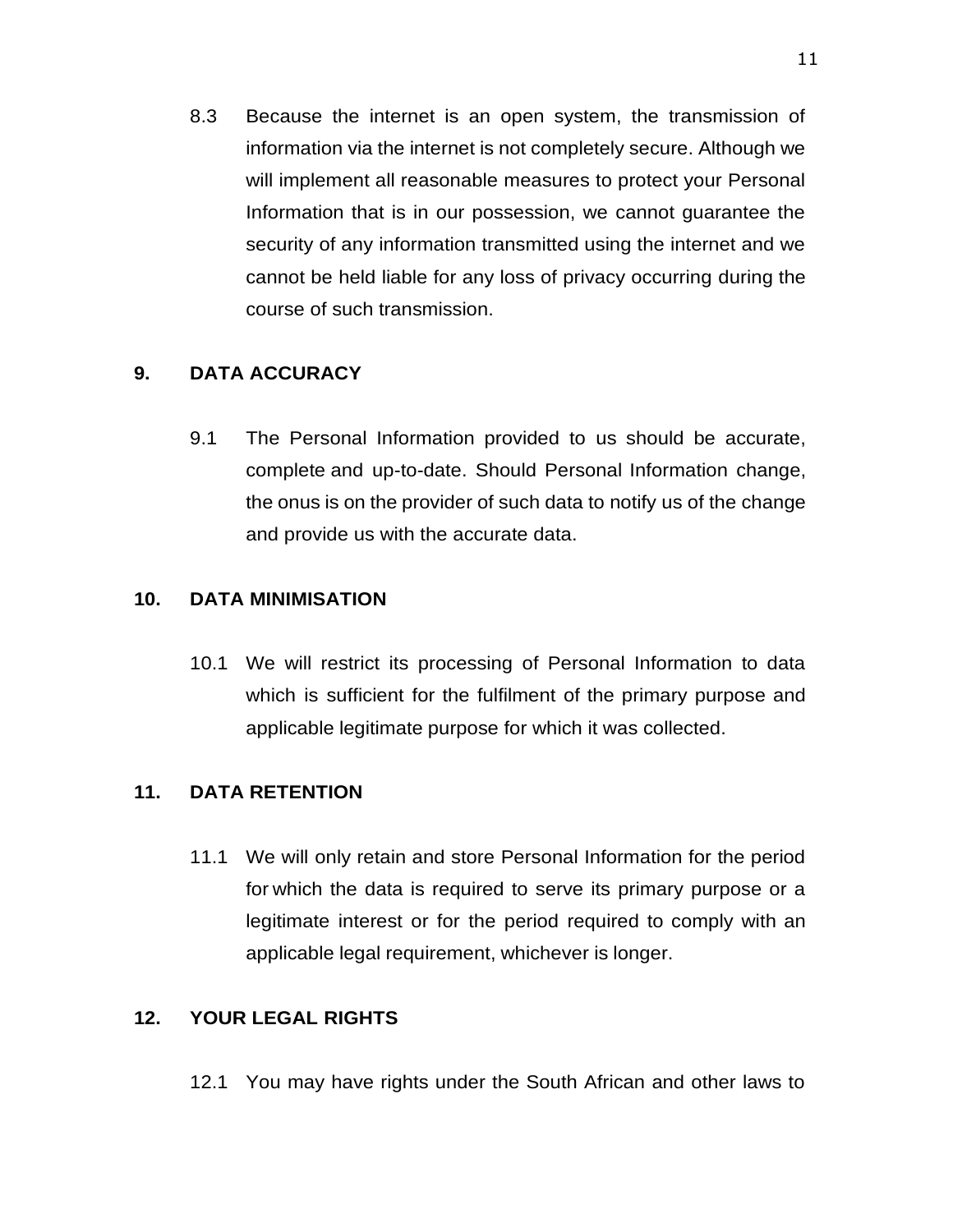8.3 Because the internet is an open system, the transmission of information via the internet is not completely secure. Although we will implement all reasonable measures to protect your Personal Information that is in our possession, we cannot guarantee the security of any information transmitted using the internet and we cannot be held liable for any loss of privacy occurring during the course of such transmission.

### <span id="page-10-0"></span>**9. DATA ACCURACY**

9.1 The Personal Information provided to us should be accurate, complete and up-to-date. Should Personal Information change, the onus is on the provider of such data to notify us of the change and provide us with the accurate data.

#### <span id="page-10-1"></span>**10. DATA MINIMISATION**

10.1 We will restrict its processing of Personal Information to data which is sufficient for the fulfilment of the primary purpose and applicable legitimate purpose for which it was collected.

## <span id="page-10-2"></span>**11. DATA RETENTION**

11.1 We will only retain and store Personal Information for the period for which the data is required to serve its primary purpose or a legitimate interest or for the period required to comply with an applicable legal requirement, whichever is longer.

#### <span id="page-10-3"></span>**12. YOUR LEGAL RIGHTS**

12.1 You may have rights under the South African and other laws to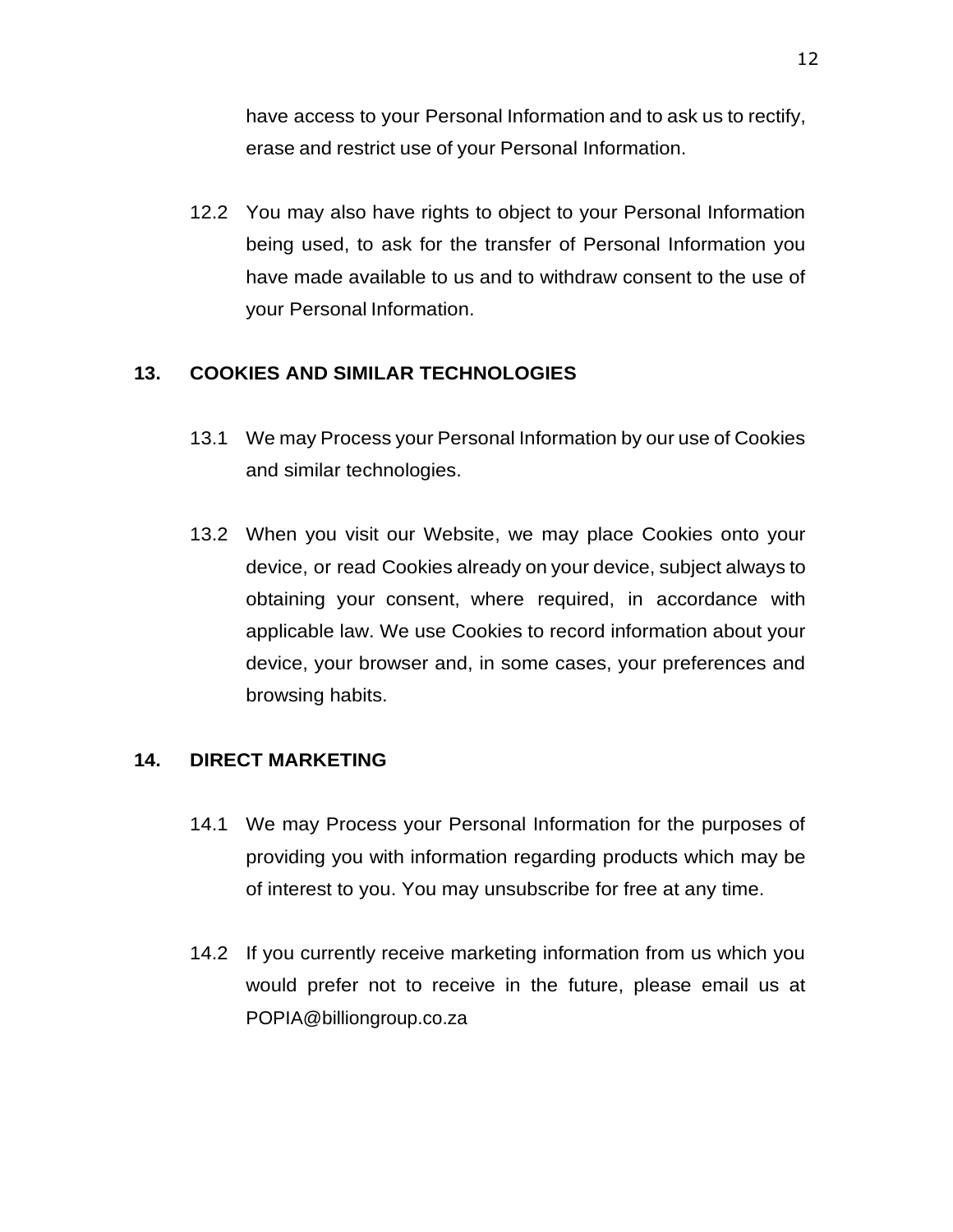have access to your Personal Information and to ask us to rectify, erase and restrict use of your Personal Information.

12.2 You may also have rights to object to your Personal Information being used, to ask for the transfer of Personal Information you have made available to us and to withdraw consent to the use of your Personal Information.

## <span id="page-11-0"></span>**13. COOKIES AND SIMILAR TECHNOLOGIES**

- 13.1 We may Process your Personal Information by our use of Cookies and similar technologies.
- 13.2 When you visit our Website, we may place Cookies onto your device, or read Cookies already on your device, subject always to obtaining your consent, where required, in accordance with applicable law. We use Cookies to record information about your device, your browser and, in some cases, your preferences and browsing habits.

## <span id="page-11-1"></span>**14. DIRECT MARKETING**

- 14.1 We may Process your Personal Information for the purposes of providing you with information regarding products which may be of interest to you. You may unsubscribe for free at any time.
- 14.2 If you currently receive marketing information from us which you would prefer not to receive in the future, please email us at POPIA@billiongroup.co.za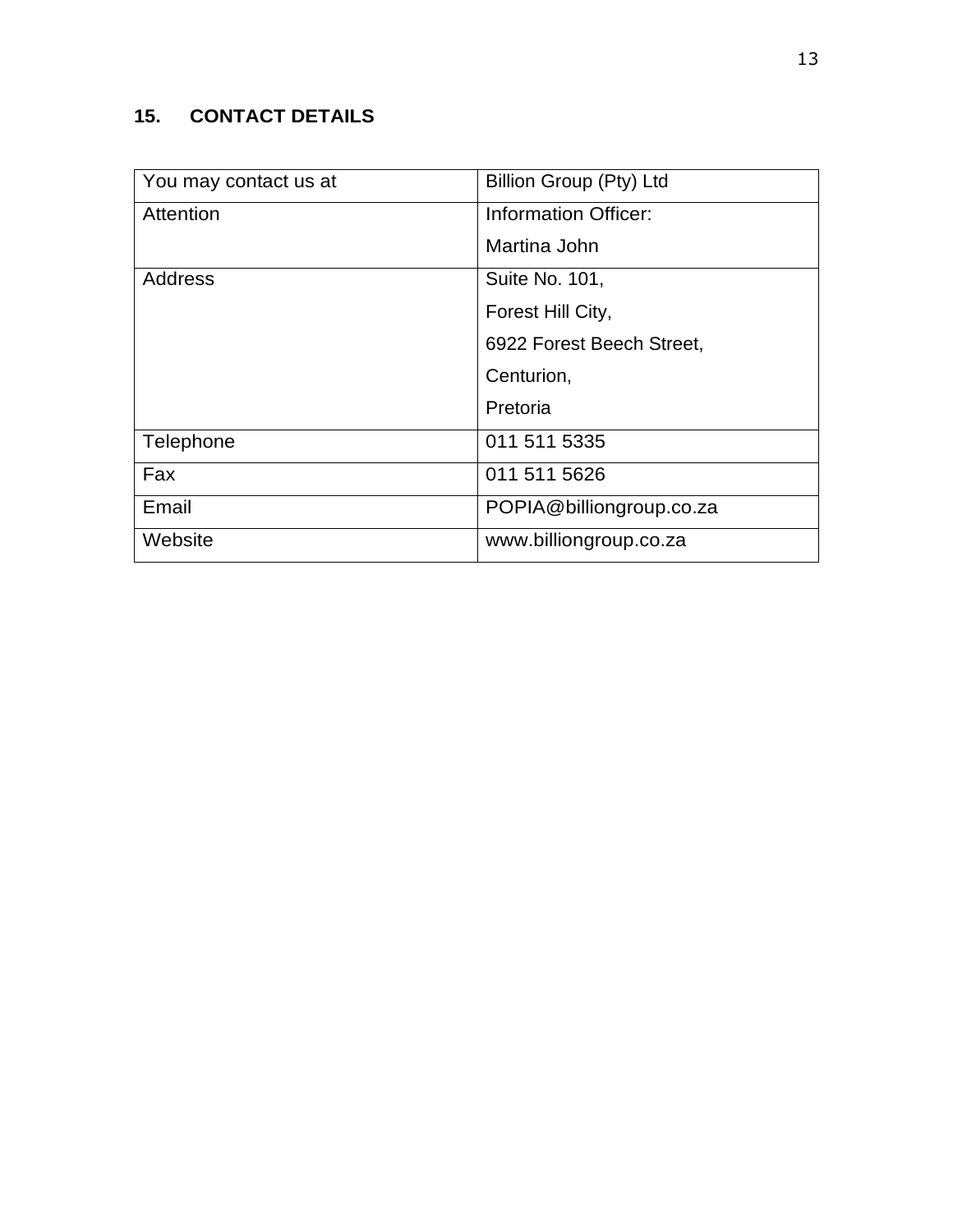# <span id="page-12-0"></span>**15. CONTACT DETAILS**

| You may contact us at | Billion Group (Pty) Ltd     |
|-----------------------|-----------------------------|
| Attention             | <b>Information Officer:</b> |
|                       | Martina John                |
| <b>Address</b>        | Suite No. 101,              |
|                       | Forest Hill City,           |
|                       | 6922 Forest Beech Street,   |
|                       | Centurion,                  |
|                       | Pretoria                    |
| Telephone             | 011 511 5335                |
| Fax                   | 011 511 5626                |
| Email                 | POPIA@billiongroup.co.za    |
| Website               | www.billiongroup.co.za      |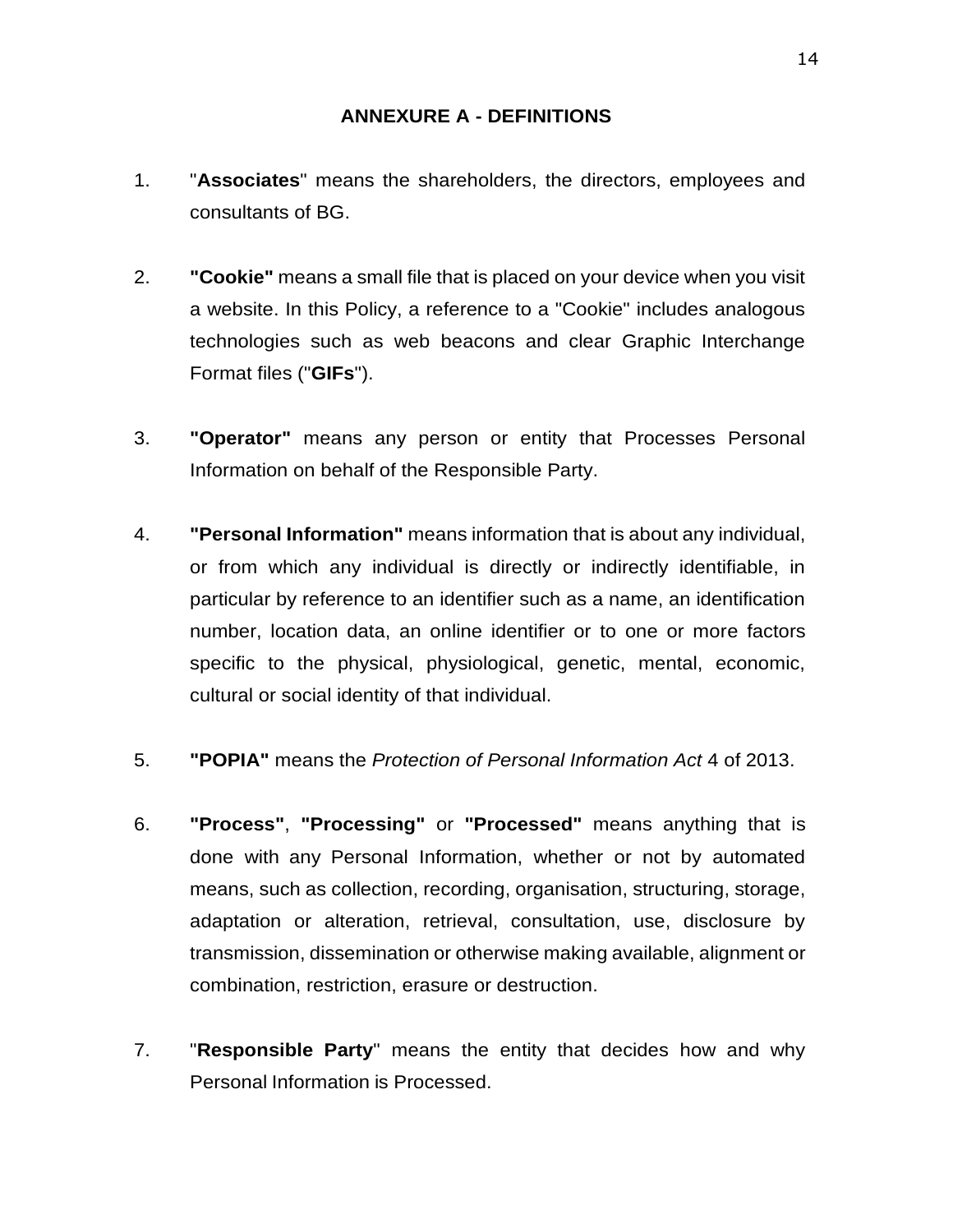#### **ANNEXURE A - DEFINITIONS**

- <span id="page-13-0"></span>1. "**Associates**" means the shareholders, the directors, employees and consultants of BG.
- 2. **"Cookie"** means a small file that is placed on your device when you visit a website. In this Policy, a reference to a "Cookie" includes analogous technologies such as web beacons and clear Graphic Interchange Format files ("**GIFs**").
- 3. **"Operator"** means any person or entity that Processes Personal Information on behalf of the Responsible Party.
- 4. **"Personal Information"** means information that is about any individual, or from which any individual is directly or indirectly identifiable, in particular by reference to an identifier such as a name, an identification number, location data, an online identifier or to one or more factors specific to the physical, physiological, genetic, mental, economic, cultural or social identity of that individual.
- 5. **"POPIA"** means the *Protection of Personal Information Act* 4 of 2013.
- 6. **"Process"**, **"Processing"** or **"Processed"** means anything that is done with any Personal Information, whether or not by automated means, such as collection, recording, organisation, structuring, storage, adaptation or alteration, retrieval, consultation, use, disclosure by transmission, dissemination or otherwise making available, alignment or combination, restriction, erasure or destruction.
- 7. "**Responsible Party**" means the entity that decides how and why Personal Information is Processed.